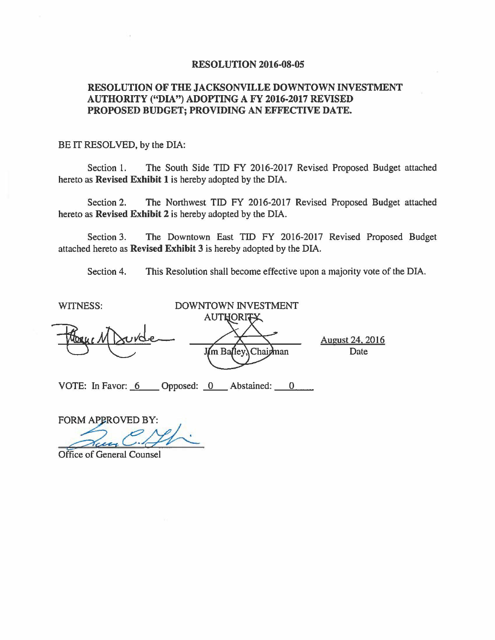#### **RESOLUTION 2016-08-05**

### **RESOLUTION OF THE JACKSONVILLE DOWNTOWN INVESTMENT AUTHORITY ("DIA") ADOPTING A FY 2016-2017 REVISED PROPOSED BUDGET; PROVIDING AN EFFECTIVE DATE.**

#### BE IT RESOLVED, by the DIA:

Section l. The South Side TIO FY 2016-2017 Revised Proposed Budget attached hereto as **Revised Exhibit 1** is hereby adopted by the DIA.

Section 2. The Northwest TIO FY 2016-2017 Revised Proposed Budget attached hereto as **Revised Exhibit 2** is hereby adopted by the DIA.

Section 3. The Downtown East TIO FY 2016-2017 Revised Proposed Budget attached hereto as **Revised Exhibit 3** is hereby adopted by the DIA.

Section 4. This Resolution shall become effective upon a majority vote of the DIA.

| <b>WITNESS:</b>   | DOWNTOWN INVESTMENT          |                                |
|-------------------|------------------------------|--------------------------------|
|                   | AUTHORITY                    |                                |
| Mague M           | rude<br>J/m Balley, Chairman | <b>August 24, 2016</b><br>Date |
| VOTE: In Favor: 6 | Opposed: 0 Abstained:        |                                |

FORM APPROVED BY: **example Proposed:**<br>
VED BY:<br>
C. //

Office of General Counsel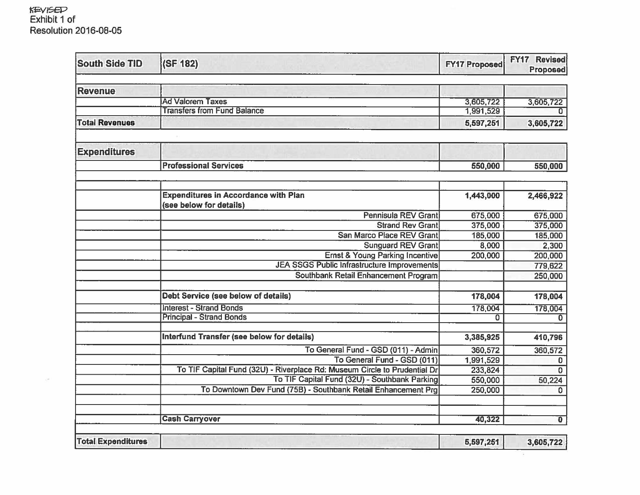#### **KEVISED** Exhibit 1 of Resolution 2016-08-05

 $\mathcal{C}(\mathcal{G})$ 

| <b>South Side TID</b>     | (SF 182)                                                                  | <b>FY17 Proposed</b> | FY17 Revised<br><b>Proposed</b> |
|---------------------------|---------------------------------------------------------------------------|----------------------|---------------------------------|
| <b>Revenue</b>            |                                                                           |                      |                                 |
|                           | <b>Ad Valorem Taxes</b>                                                   | 3,605,722            | 3,605,722                       |
|                           | <b>Transfers from Fund Balance</b>                                        | 1,991,529            |                                 |
| <b>Total Revenues</b>     |                                                                           | 5,597,251            | 3,605,722                       |
| <b>Expenditures</b>       |                                                                           |                      |                                 |
|                           | <b>Professional Services</b>                                              | 550,000              | 550,000                         |
|                           |                                                                           |                      |                                 |
|                           | <b>Expenditures in Accordance with Plan</b><br>(see below for details)    | 1,443,000            | 2,466,922                       |
|                           | <b>Pennisula REV Grant</b>                                                | 675,000              | 675,000                         |
|                           | <b>Strand Rev Grant</b>                                                   | 375,000              | 375,000                         |
|                           | San Marco Place REV Grant                                                 | 185,000              | 185,000                         |
|                           | <b>Sunguard REV Grant</b>                                                 | 8,000                | 2,300                           |
|                           | <b>Ernst &amp; Young Parking Incentive</b>                                | 200,000              | 200,000                         |
|                           | <b>JEA SSGS Public Infrastructure Improvements</b>                        |                      | 779,622                         |
|                           | Southbank Retail Enhancement Program                                      |                      | 250,000                         |
|                           | Debt Service (see below of details)                                       | 178,004              | 178,004                         |
|                           | <b>Interest - Strand Bonds</b>                                            | 178,004              | 178,004                         |
|                           | <b>Principal - Strand Bonds</b>                                           | $\Omega$             | $\Omega$                        |
|                           | Interfund Transfer (see below for details)                                | 3,385,925            | 410,796                         |
|                           | To General Fund - GSD (011) - Admin                                       | 360,572              | 360,572                         |
|                           | To General Fund - GSD (011)                                               | 1,991,529            | $\mathbf{0}$                    |
|                           | To TIF Capital Fund (32U) - Riverplace Rd: Museum Circle to Prudential Dr | 233,824              | $\mathbf 0$                     |
|                           | To TIF Capital Fund (32U) - Southbank Parking                             | 550,000              | 50,224                          |
|                           | To Downtown Dev Fund (75B) - Southbank Retail Enhancement Prg             | 250,000              | $\Omega$                        |
|                           | <b>Cash Carryover</b>                                                     | 40,322               | $\overline{\mathbf{0}}$         |
| <b>Total Expenditures</b> |                                                                           | 5,597,251            | 3,605,722                       |

 $\alpha$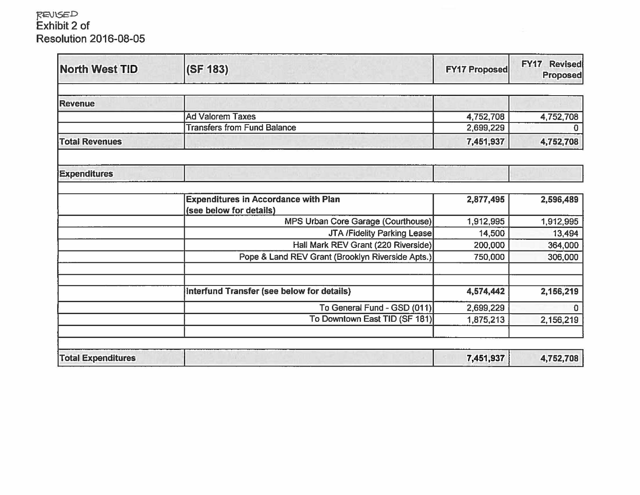## }(E\l\SED Exhibit 2 of Resolution 2016-08-05

| <b>North West TID</b>     | (SF 183)                                                               | <b>FY17 Proposed</b> | <b>FY17 Revised</b><br><b>Proposed</b> |
|---------------------------|------------------------------------------------------------------------|----------------------|----------------------------------------|
| <b>Revenue</b>            |                                                                        |                      |                                        |
|                           |                                                                        |                      |                                        |
|                           | <b>Ad Valorem Taxes</b>                                                | 4,752,708            | 4,752,708                              |
|                           | <b>Transfers from Fund Balance</b>                                     | 2,699,229            | $\Omega$                               |
| <b>Total Revenues</b>     |                                                                        | 7,451,937            | 4,752,708                              |
| <b>Expenditures</b>       | MO THOM I STEEL                                                        |                      |                                        |
|                           | <b>Expenditures in Accordance with Plan</b><br>(see below for details) | 2,877,495            | 2,596,489                              |
|                           | MPS Urban Core Garage (Courthouse)                                     | 1,912,995            | 1,912,995                              |
|                           | JTA /Fidelity Parking Lease                                            | 14,500               | 13,494                                 |
|                           | Hall Mark REV Grant (220 Riverside)                                    | 200,000              | 364,000                                |
|                           | Pope & Land REV Grant (Brooklyn Riverside Apts.)                       | 750,000              | 306,000                                |
|                           | Interfund Transfer (see below for details)                             | 4,574,442            | 2,156,219                              |
|                           | To General Fund - GSD (011)                                            | 2,699,229            | $\Omega$                               |
|                           | To Downtown East TID (SF 181)                                          | 1,875,213            | 2,156,219                              |
| <b>Total Expenditures</b> |                                                                        | 7,451,937            | 4,752,708                              |